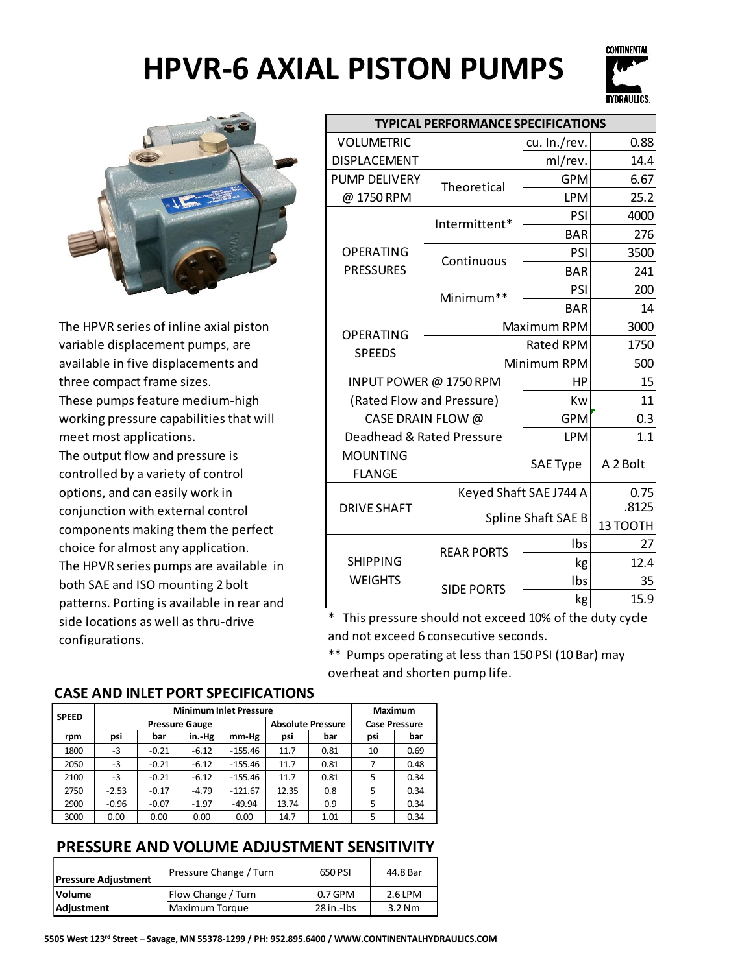



The HPVR series of inline axial piston variable displacement pumps, are available in five displacements and three compact frame sizes. These pumps feature medium-high working pressure capabilities that will meet most applications. The output flow and pressure is controlled by a variety of control options, and can easily work in conjunction with external control components making them the perfect choice for almost any application. The HPVR series pumps are available in both SAE and ISO mounting 2 bolt patterns. Porting is available in rear and side locations as well as thru-drive configurations.

| <b>TYPICAL PERFORMANCE SPECIFICATIONS</b> |                                                                                                   |                   |  |  |  |
|-------------------------------------------|---------------------------------------------------------------------------------------------------|-------------------|--|--|--|
|                                           | cu. In./rev.                                                                                      | 0.88              |  |  |  |
|                                           | ml/rev.                                                                                           | 14.4              |  |  |  |
|                                           | <b>GPM</b>                                                                                        | 6.67              |  |  |  |
|                                           | <b>LPM</b>                                                                                        | 25.2              |  |  |  |
|                                           | PSI                                                                                               | 4000              |  |  |  |
|                                           | <b>BAR</b>                                                                                        | 276               |  |  |  |
|                                           | PSI                                                                                               | 3500              |  |  |  |
|                                           | <b>BAR</b>                                                                                        | 241               |  |  |  |
|                                           | PSI                                                                                               | 200               |  |  |  |
|                                           | <b>BAR</b>                                                                                        | 14                |  |  |  |
| Maximum RPM                               |                                                                                                   | 3000              |  |  |  |
|                                           | <b>Rated RPM</b>                                                                                  | 1750              |  |  |  |
| Minimum RPM<br>500                        |                                                                                                   |                   |  |  |  |
| INPUT POWER @ 1750 RPM                    |                                                                                                   |                   |  |  |  |
| (Rated Flow and Pressure)                 | Kw                                                                                                | 11                |  |  |  |
| CASE DRAIN FLOW @                         | <b>GPM</b>                                                                                        | 0.3               |  |  |  |
| Deadhead & Rated Pressure                 | <b>LPM</b>                                                                                        | 1.1               |  |  |  |
|                                           | <b>SAE Type</b>                                                                                   | A 2 Bolt          |  |  |  |
| Keyed Shaft SAE J744 A                    |                                                                                                   | 0.75              |  |  |  |
| Spline Shaft SAE B                        |                                                                                                   | .8125<br>13 TOOTH |  |  |  |
|                                           | Ibs                                                                                               | 27                |  |  |  |
|                                           | kg                                                                                                | 12.4              |  |  |  |
|                                           | Ibs                                                                                               | 35                |  |  |  |
|                                           | kg                                                                                                | 15.9              |  |  |  |
|                                           | Theoretical<br>Intermittent*<br>Continuous<br>Minimum**<br><b>REAR PORTS</b><br><b>SIDE PORTS</b> | HP                |  |  |  |

\* This pressure should not exceed 10% of the duty cycle and not exceed 6 consecutive seconds.

\*\* Pumps operating at less than 150 PSI (10 Bar) may overheat and shorten pump life.

#### **CASE AND INLET PORT SPECIFICATIONS**

| <b>SPEED</b> | <b>Minimum Inlet Pressure</b> |         |         |           | Maximum                  |      |                      |      |
|--------------|-------------------------------|---------|---------|-----------|--------------------------|------|----------------------|------|
|              | <b>Pressure Gauge</b>         |         |         |           | <b>Absolute Pressure</b> |      | <b>Case Pressure</b> |      |
| rpm          | psi                           | bar     | in.-Hg  | mm-Hg     | psi                      | bar  | psi                  | bar  |
| 1800         | -3                            | $-0.21$ | $-6.12$ | $-155.46$ | 11.7                     | 0.81 | 10                   | 0.69 |
| 2050         | -3                            | $-0.21$ | $-6.12$ | $-155.46$ | 11.7                     | 0.81 | 7                    | 0.48 |
| 2100         | -3                            | $-0.21$ | $-6.12$ | $-155.46$ | 11.7                     | 0.81 | 5                    | 0.34 |
| 2750         | $-2.53$                       | $-0.17$ | $-4.79$ | $-121.67$ | 12.35                    | 0.8  | 5                    | 0.34 |
| 2900         | $-0.96$                       | $-0.07$ | $-1.97$ | $-49.94$  | 13.74                    | 0.9  | 5                    | 0.34 |
| 3000         | 0.00                          | 0.00    | 0.00    | 0.00      | 14.7                     | 1.01 | 5                    | 0.34 |

#### **PRESSURE AND VOLUME ADJUSTMENT SENSITIVITY**

| <b>Pressure Adjustment</b> | <b>Pressure Change / Turn</b> | 650 PSI      | 44.8 Bar |
|----------------------------|-------------------------------|--------------|----------|
| <b>Volume</b>              | Flow Change / Turn            | $0.7$ GPM    | 2.6 LPM  |
| Adjustment                 | Maximum Torque                | $28$ in.-lbs | $3.2$ Nm |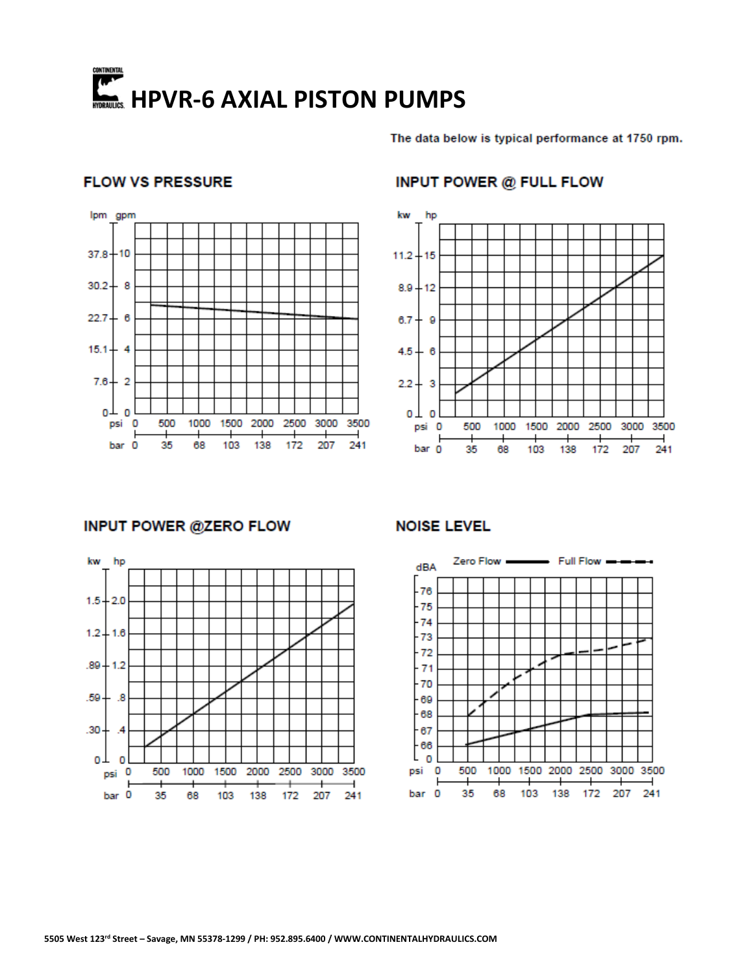# **ANTING AND AN INCREASE PROPERTY.**<br>HTTPS://www.millis.edu/html

The data below is typical performance at 1750 rpm.

#### **FLOW VS PRESSURE**



#### **INPUT POWER @ FULL FLOW**



#### **INPUT POWER @ZERO FLOW**



#### **NOISE LEVEL**

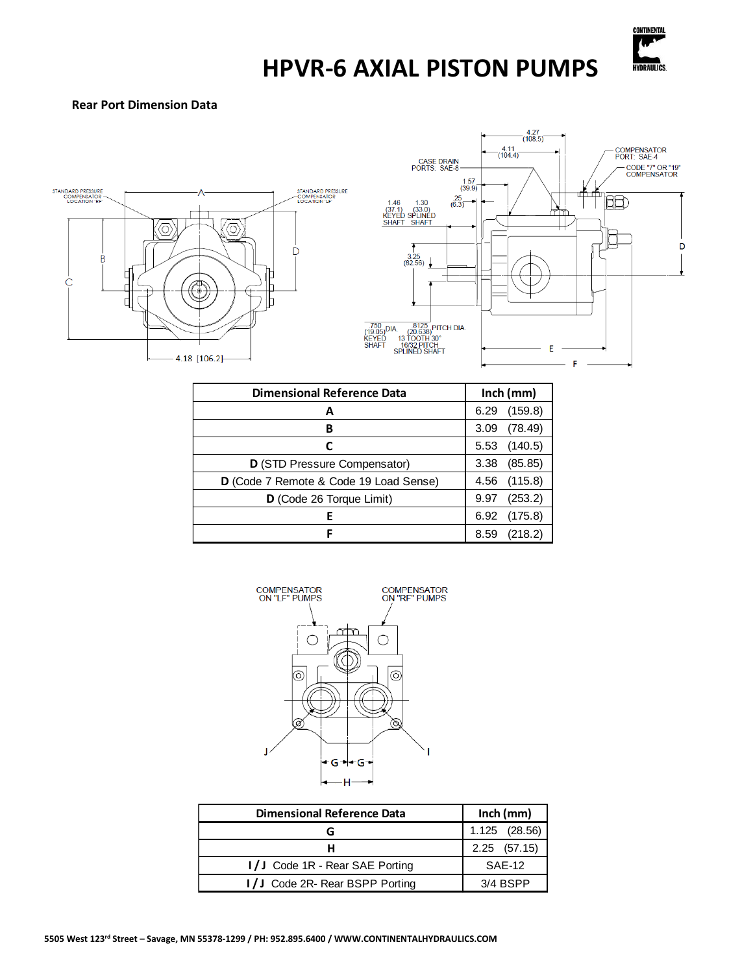![](_page_2_Picture_0.jpeg)

#### **Rear Port Dimension Data**

![](_page_2_Figure_3.jpeg)

![](_page_2_Figure_4.jpeg)

| <b>Dimensional Reference Data</b>      | Inch (mm)       |  |
|----------------------------------------|-----------------|--|
| А                                      | (159.8)<br>6.29 |  |
| в                                      | (78.49)<br>3.09 |  |
| С                                      | (140.5)<br>5.53 |  |
| D (STD Pressure Compensator)           | (85.85)<br>3.38 |  |
| D (Code 7 Remote & Code 19 Load Sense) | (115.8)<br>4.56 |  |
| D (Code 26 Torque Limit)               | (253.2)<br>9.97 |  |
| Е                                      | (175.8)<br>6.92 |  |
| F                                      | (218.2)<br>8.59 |  |

![](_page_2_Figure_6.jpeg)

| <b>Dimensional Reference Data</b> | $lnch$ (mm)    |  |
|-----------------------------------|----------------|--|
|                                   | 1.125 (28.56)  |  |
| н                                 | $2.25$ (57.15) |  |
| I/J Code 1R - Rear SAE Porting    | SAE-12         |  |
| I/J Code 2R- Rear BSPP Porting    | $3/4$ BSPP     |  |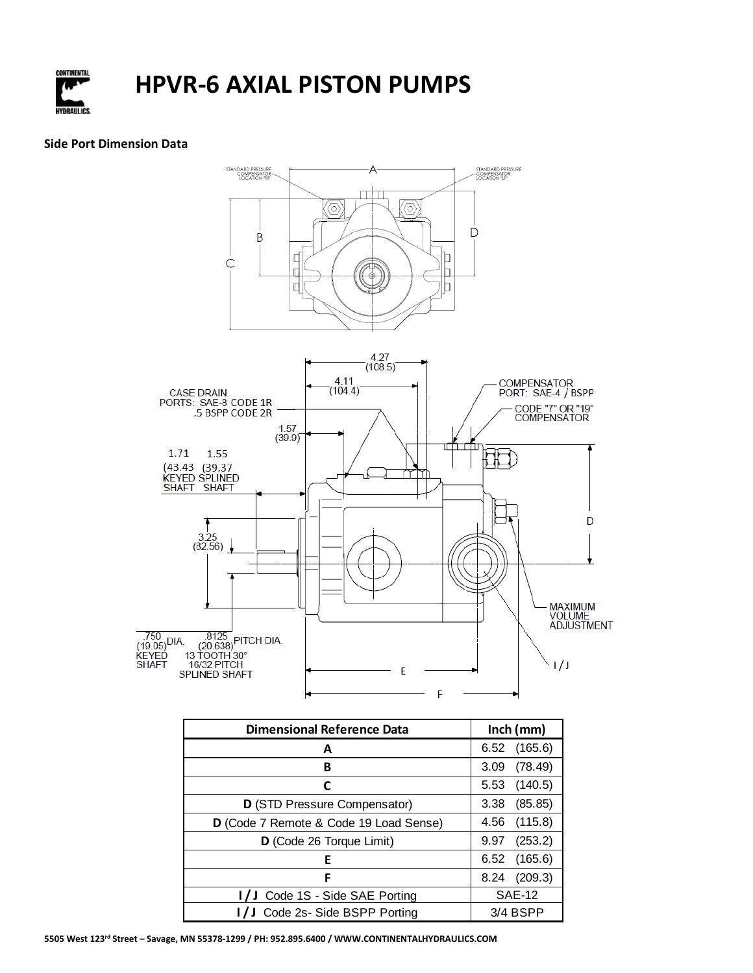![](_page_3_Picture_0.jpeg)

#### **Side Port Dimension Data**

![](_page_3_Figure_3.jpeg)

| <b>Dimensional Reference Data</b>            | $lnch$ (mm)     |  |
|----------------------------------------------|-----------------|--|
| А                                            | (165.6)<br>6.52 |  |
| В                                            | (78.49)<br>3.09 |  |
| C                                            | (140.5)<br>5.53 |  |
| D (STD Pressure Compensator)                 | 3.38<br>(85.85) |  |
| D (Code 7 Remote & Code 19 Load Sense)       | (115.8)<br>4.56 |  |
| D (Code 26 Torque Limit)                     | (253.2)<br>9.97 |  |
| E                                            | (165.6)<br>6.52 |  |
| F                                            | (209.3)<br>8.24 |  |
| I/J Code 1S - Side SAE Porting               | <b>SAE-12</b>   |  |
| I/J Code 2s- Side BSPP Porting<br>$3/4$ BSPP |                 |  |